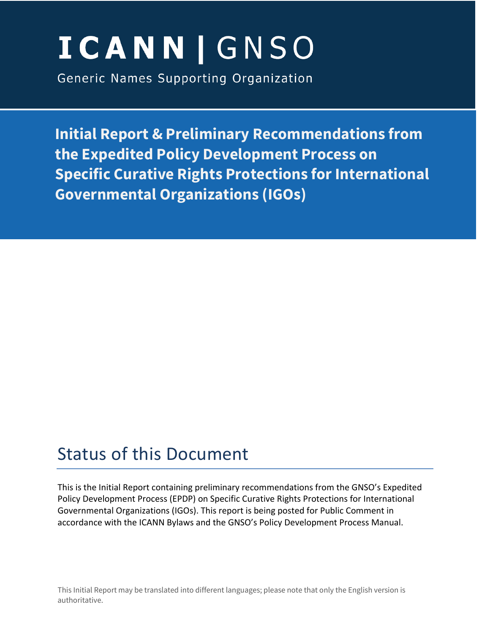# **ICANN | GNSO**

Generic Names Supporting Organization

**Initial Report & Preliminary Recommendations from the Expedited Policy Development Process on Specific Curative Rights Protections for International Governmental Organizations (IGOs)** 

# Status of this Document

This is the Initial Report containing preliminary recommendations from the GNSO's Expedited Policy Development Process (EPDP) on Specific Curative Rights Protections for International Governmental Organizations (IGOs). This report is being posted for Public Comment in accordance with the ICANN Bylaws and the GNSO's Policy Development Process Manual.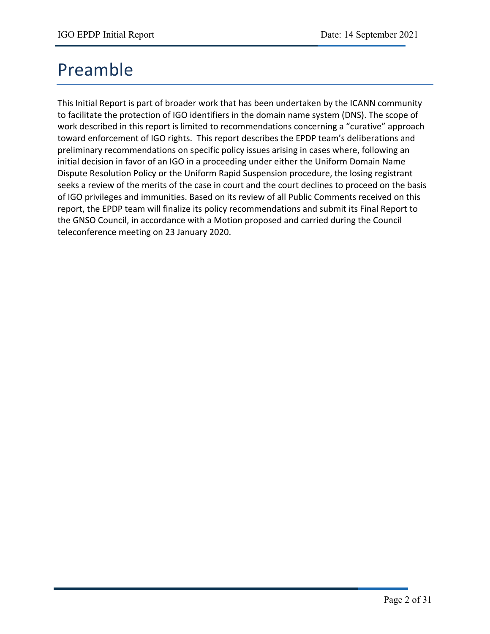# Preamble

This Initial Report is part of broader work that has been undertaken by the ICANN community to facilitate the protection of IGO identifiers in the domain name system (DNS). The scope of work described in this report is limited to recommendations concerning a "curative" approach toward enforcement of IGO rights. This report describes the EPDP team's deliberations and preliminary recommendations on specific policy issues arising in cases where, following an initial decision in favor of an IGO in a proceeding under either the Uniform Domain Name Dispute Resolution Policy or the Uniform Rapid Suspension procedure, the losing registrant seeks a review of the merits of the case in court and the court declines to proceed on the basis of IGO privileges and immunities. Based on its review of all Public Comments received on this report, the EPDP team will finalize its policy recommendations and submit its Final Report to the GNSO Council, in accordance with a Motion proposed and carried during the Council teleconference meeting on 23 January 2020.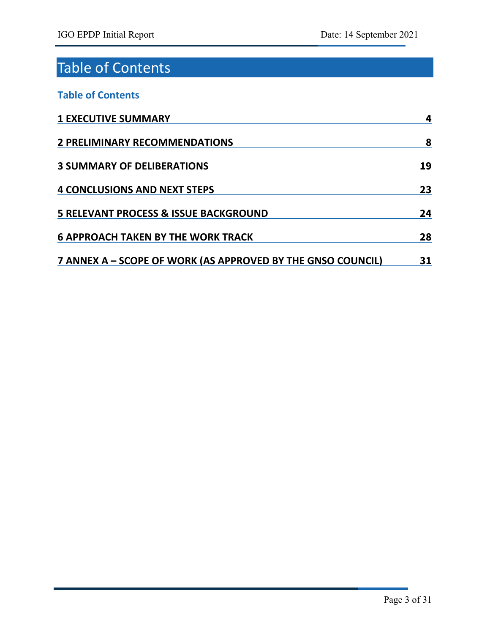# Table of Contents

**Table of Contents**

| <b>1 EXECUTIVE SUMMARY</b>                                  |    |
|-------------------------------------------------------------|----|
| <b>2 PRELIMINARY RECOMMENDATIONS</b>                        | 8  |
| <b>3 SUMMARY OF DELIBERATIONS</b>                           | 19 |
| <b>4 CONCLUSIONS AND NEXT STEPS</b>                         | 23 |
| <b>5 RELEVANT PROCESS &amp; ISSUE BACKGROUND</b>            | 24 |
| <b>6 APPROACH TAKEN BY THE WORK TRACK</b>                   | 28 |
| 7 ANNEX A – SCOPE OF WORK (AS APPROVED BY THE GNSO COUNCIL) | 31 |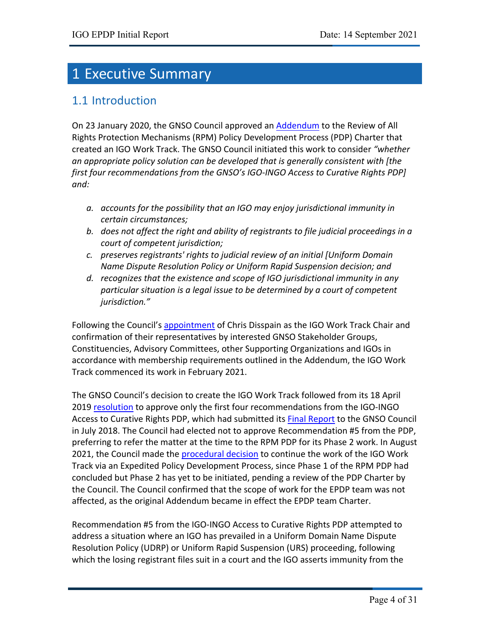# 1 Executive Summary

### 1.1 Introduction

On 23 January 2020, the GNSO Council approved an Addendum to the Review of All Rights Protection Mechanisms (RPM) Policy Development Process (PDP) Charter that created an IGO Work Track. The GNSO Council initiated this work to consider *"whether an appropriate policy solution can be developed that is generally consistent with [the first four recommendations from the GNSO's IGO-INGO Access to Curative Rights PDP] and:*

- *a. accounts for the possibility that an IGO may enjoy jurisdictional immunity in certain circumstances;*
- *b. does not affect the right and ability of registrants to file judicial proceedings in a court of competent jurisdiction;*
- *c. preserves registrants' rights to judicial review of an initial [Uniform Domain Name Dispute Resolution Policy or Uniform Rapid Suspension decision; and*
- *d. recognizes that the existence and scope of IGO jurisdictional immunity in any particular situation is a legal issue to be determined by a court of competent jurisdiction."*

Following the Council's appointment of Chris Disspain as the IGO Work Track Chair and confirmation of their representatives by interested GNSO Stakeholder Groups, Constituencies, Advisory Committees, other Supporting Organizations and IGOs in accordance with membership requirements outlined in the Addendum, the IGO Work Track commenced its work in February 2021.

The GNSO Council's decision to create the IGO Work Track followed from its 18 April 2019 resolution to approve only the first four recommendations from the IGO-INGO Access to Curative Rights PDP, which had submitted its Final Report to the GNSO Council in July 2018. The Council had elected not to approve Recommendation #5 from the PDP, preferring to refer the matter at the time to the RPM PDP for its Phase 2 work. In August 2021, the Council made the procedural decision to continue the work of the IGO Work Track via an Expedited Policy Development Process, since Phase 1 of the RPM PDP had concluded but Phase 2 has yet to be initiated, pending a review of the PDP Charter by the Council. The Council confirmed that the scope of work for the EPDP team was not affected, as the original Addendum became in effect the EPDP team Charter.

Recommendation #5 from the IGO-INGO Access to Curative Rights PDP attempted to address a situation where an IGO has prevailed in a Uniform Domain Name Dispute Resolution Policy (UDRP) or Uniform Rapid Suspension (URS) proceeding, following which the losing registrant files suit in a court and the IGO asserts immunity from the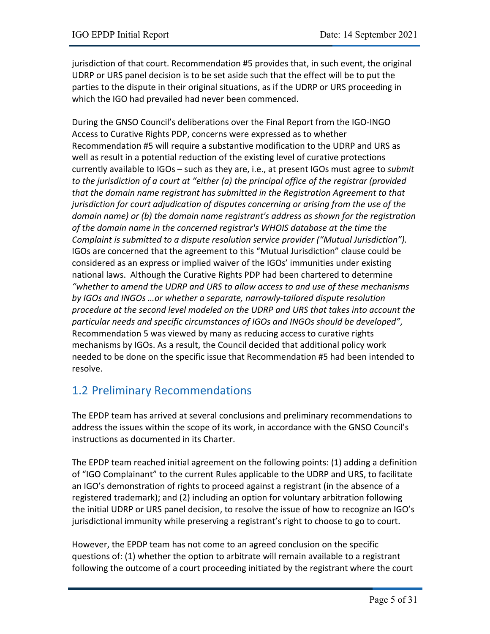jurisdiction of that court. Recommendation #5 provides that, in such event, the original UDRP or URS panel decision is to be set aside such that the effect will be to put the parties to the dispute in their original situations, as if the UDRP or URS proceeding in which the IGO had prevailed had never been commenced.

During the GNSO Council's deliberations over the Final Report from the IGO-INGO Access to Curative Rights PDP, concerns were expressed as to whether Recommendation #5 will require a substantive modification to the UDRP and URS as well as result in a potential reduction of the existing level of curative protections currently available to IGOs – such as they are, i.e., at present IGOs must agree to *submit to the jurisdiction of a court at "either (a) the principal office of the registrar (provided that the domain name registrant has submitted in the Registration Agreement to that jurisdiction for court adjudication of disputes concerning or arising from the use of the domain name) or (b) the domain name registrant's address as shown for the registration of the domain name in the concerned registrar's WHOIS database at the time the Complaint is submitted to a dispute resolution service provider ("Mutual Jurisdiction").*  IGOs are concerned that the agreement to this "Mutual Jurisdiction" clause could be considered as an express or implied waiver of the IGOs' immunities under existing national laws. Although the Curative Rights PDP had been chartered to determine *"whether to amend the UDRP and URS to allow access to and use of these mechanisms by IGOs and INGOs …or whether a separate, narrowly-tailored dispute resolution procedure at the second level modeled on the UDRP and URS that takes into account the particular needs and specific circumstances of IGOs and INGOs should be developed"*, Recommendation 5 was viewed by many as reducing access to curative rights mechanisms by IGOs. As a result, the Council decided that additional policy work needed to be done on the specific issue that Recommendation #5 had been intended to resolve.

# 1.2 Preliminary Recommendations

The EPDP team has arrived at several conclusions and preliminary recommendations to address the issues within the scope of its work, in accordance with the GNSO Council's instructions as documented in its Charter.

The EPDP team reached initial agreement on the following points: (1) adding a definition of "IGO Complainant" to the current Rules applicable to the UDRP and URS, to facilitate an IGO's demonstration of rights to proceed against a registrant (in the absence of a registered trademark); and (2) including an option for voluntary arbitration following the initial UDRP or URS panel decision, to resolve the issue of how to recognize an IGO's jurisdictional immunity while preserving a registrant's right to choose to go to court.

However, the EPDP team has not come to an agreed conclusion on the specific questions of: (1) whether the option to arbitrate will remain available to a registrant following the outcome of a court proceeding initiated by the registrant where the court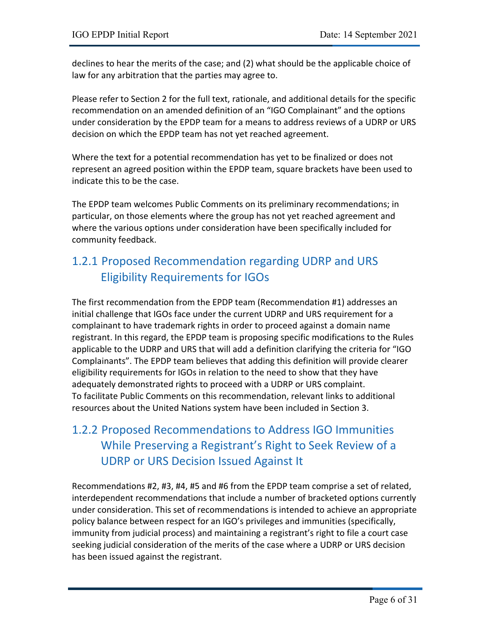declines to hear the merits of the case; and (2) what should be the applicable choice of law for any arbitration that the parties may agree to.

Please refer to Section 2 for the full text, rationale, and additional details for the specific recommendation on an amended definition of an "IGO Complainant" and the options under consideration by the EPDP team for a means to address reviews of a UDRP or URS decision on which the EPDP team has not yet reached agreement.

Where the text for a potential recommendation has yet to be finalized or does not represent an agreed position within the EPDP team, square brackets have been used to indicate this to be the case.

The EPDP team welcomes Public Comments on its preliminary recommendations; in particular, on those elements where the group has not yet reached agreement and where the various options under consideration have been specifically included for community feedback.

# 1.2.1 Proposed Recommendation regarding UDRP and URS Eligibility Requirements for IGOs

The first recommendation from the EPDP team (Recommendation #1) addresses an initial challenge that IGOs face under the current UDRP and URS requirement for a complainant to have trademark rights in order to proceed against a domain name registrant. In this regard, the EPDP team is proposing specific modifications to the Rules applicable to the UDRP and URS that will add a definition clarifying the criteria for "IGO Complainants". The EPDP team believes that adding this definition will provide clearer eligibility requirements for IGOs in relation to the need to show that they have adequately demonstrated rights to proceed with a UDRP or URS complaint. To facilitate Public Comments on this recommendation, relevant links to additional resources about the United Nations system have been included in Section 3.

# 1.2.2 Proposed Recommendations to Address IGO Immunities While Preserving a Registrant's Right to Seek Review of a UDRP or URS Decision Issued Against It

Recommendations #2, #3, #4, #5 and #6 from the EPDP team comprise a set of related, interdependent recommendations that include a number of bracketed options currently under consideration. This set of recommendations is intended to achieve an appropriate policy balance between respect for an IGO's privileges and immunities (specifically, immunity from judicial process) and maintaining a registrant's right to file a court case seeking judicial consideration of the merits of the case where a UDRP or URS decision has been issued against the registrant.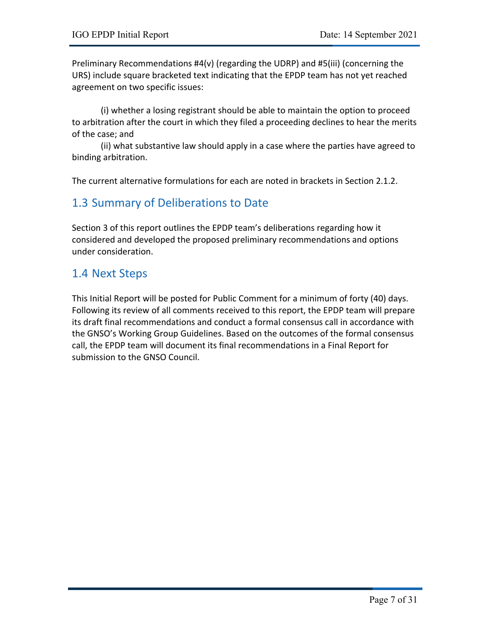Preliminary Recommendations #4(v) (regarding the UDRP) and #5(iii) (concerning the URS) include square bracketed text indicating that the EPDP team has not yet reached agreement on two specific issues:

(i) whether a losing registrant should be able to maintain the option to proceed to arbitration after the court in which they filed a proceeding declines to hear the merits of the case; and

(ii) what substantive law should apply in a case where the parties have agreed to binding arbitration.

The current alternative formulations for each are noted in brackets in Section 2.1.2.

### 1.3 Summary of Deliberations to Date

Section 3 of this report outlines the EPDP team's deliberations regarding how it considered and developed the proposed preliminary recommendations and options under consideration.

### 1.4 Next Steps

This Initial Report will be posted for Public Comment for a minimum of forty (40) days. Following its review of all comments received to this report, the EPDP team will prepare its draft final recommendations and conduct a formal consensus call in accordance with the GNSO's Working Group Guidelines. Based on the outcomes of the formal consensus call, the EPDP team will document its final recommendations in a Final Report for submission to the GNSO Council.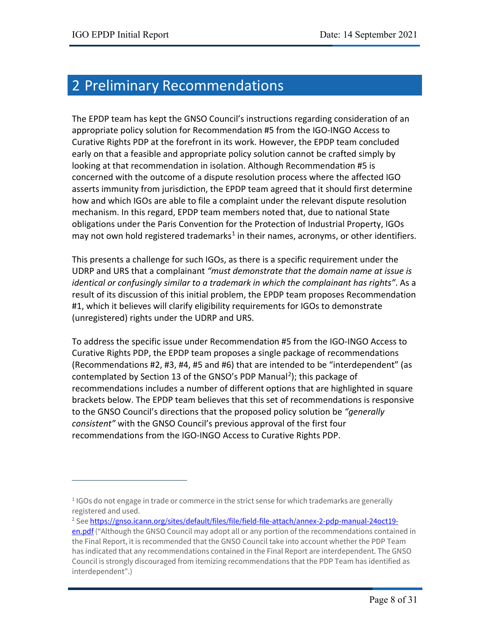$\overline{a}$ 

# 2 Preliminary Recommendations

The EPDP team has kept the GNSO Council's instructions regarding consideration of an appropriate policy solution for Recommendation #5 from the IGO-INGO Access to Curative Rights PDP at the forefront in its work. However, the EPDP team concluded early on that a feasible and appropriate policy solution cannot be crafted simply by looking at that recommendation in isolation. Although Recommendation #5 is concerned with the outcome of a dispute resolution process where the affected IGO asserts immunity from jurisdiction, the EPDP team agreed that it should first determine how and which IGOs are able to file a complaint under the relevant dispute resolution mechanism. In this regard, EPDP team members noted that, due to national State obligations under the Paris Convention for the Protection of Industrial Property, IGOs may not own hold registered trademarks<sup>1</sup> in their names, acronyms, or other identifiers.

This presents a challenge for such IGOs, as there is a specific requirement under the UDRP and URS that a complainant *"must demonstrate that the domain name at issue is identical or confusingly similar to a trademark in which the complainant has rights"*. As a result of its discussion of this initial problem, the EPDP team proposes Recommendation #1, which it believes will clarify eligibility requirements for IGOs to demonstrate (unregistered) rights under the UDRP and URS.

To address the specific issue under Recommendation #5 from the IGO-INGO Access to Curative Rights PDP, the EPDP team proposes a single package of recommendations (Recommendations #2, #3, #4, #5 and #6) that are intended to be "interdependent" (as contemplated by Section 13 of the GNSO's PDP Manual<sup>2</sup>); this package of recommendations includes a number of different options that are highlighted in square brackets below. The EPDP team believes that this set of recommendations is responsive to the GNSO Council's directions that the proposed policy solution be *"generally consistent"* with the GNSO Council's previous approval of the first four recommendations from the IGO-INGO Access to Curative Rights PDP.

 $<sup>1</sup>$  IGOs do not engage in trade or commerce in the strict sense for which trademarks are generally</sup> registered and used.

<sup>&</sup>lt;sup>2</sup> See https://gnso.icann.org/sites/default/files/file/field-file-attach/annex-2-pdp-manual-24oct19en.pdf ("Although the GNSO Council may adopt all or any portion of the recommendations contained in the Final Report, it is recommended that the GNSO Council take into account whether the PDP Team has indicated that any recommendations contained in the Final Report are interdependent. The GNSO Council is strongly discouraged from itemizing recommendations that the PDP Team has identified as interdependent".)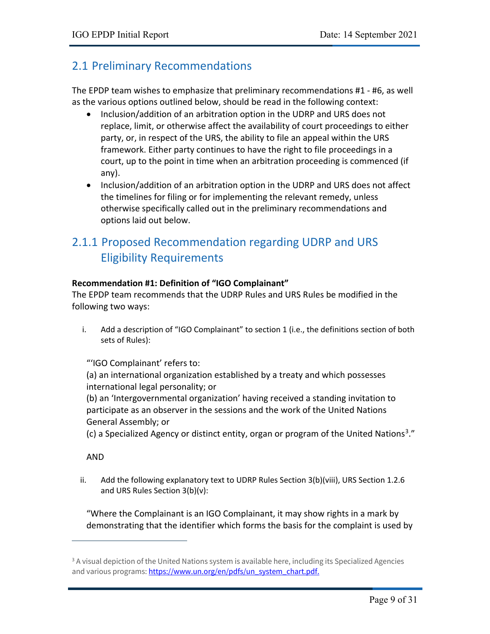## 2.1 Preliminary Recommendations

The EPDP team wishes to emphasize that preliminary recommendations #1 - #6, as well as the various options outlined below, should be read in the following context:

- Inclusion/addition of an arbitration option in the UDRP and URS does not replace, limit, or otherwise affect the availability of court proceedings to either party, or, in respect of the URS, the ability to file an appeal within the URS framework. Either party continues to have the right to file proceedings in a court, up to the point in time when an arbitration proceeding is commenced (if any).
- Inclusion/addition of an arbitration option in the UDRP and URS does not affect the timelines for filing or for implementing the relevant remedy, unless otherwise specifically called out in the preliminary recommendations and options laid out below.

# 2.1.1 Proposed Recommendation regarding UDRP and URS Eligibility Requirements

### **Recommendation #1: Definition of "IGO Complainant"**

The EPDP team recommends that the UDRP Rules and URS Rules be modified in the following two ways:

i. Add a description of "IGO Complainant" to section 1 (i.e., the definitions section of both sets of Rules):

"'IGO Complainant' refers to:

(a) an international organization established by a treaty and which possesses international legal personality; or

(b) an 'Intergovernmental organization' having received a standing invitation to participate as an observer in the sessions and the work of the United Nations General Assembly; or

(c) a Specialized Agency or distinct entity, organ or program of the United Nations<sup>3</sup>."

AND

 $\overline{a}$ 

ii. Add the following explanatory text to UDRP Rules Section 3(b)(viii), URS Section 1.2.6 and URS Rules Section 3(b)(v):

"Where the Complainant is an IGO Complainant, it may show rights in a mark by demonstrating that the identifier which forms the basis for the complaint is used by

<sup>&</sup>lt;sup>3</sup> A visual depiction of the United Nations system is available here, including its Specialized Agencies and various programs: https://www.un.org/en/pdfs/un\_system\_chart.pdf.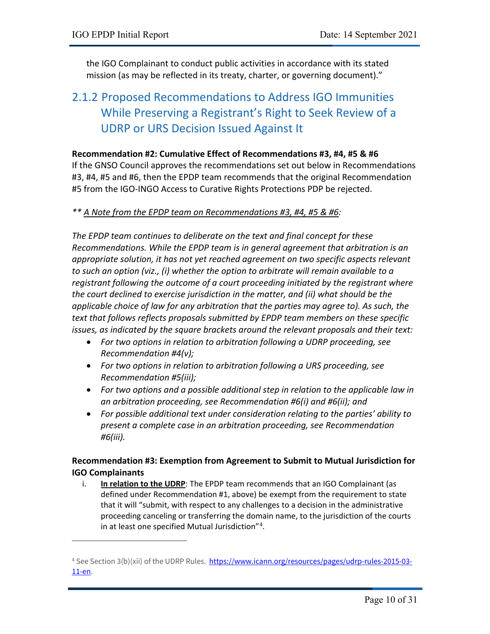$\overline{a}$ 

the IGO Complainant to conduct public activities in accordance with its stated mission (as may be reflected in its treaty, charter, or governing document)."

# 2.1.2 Proposed Recommendations to Address IGO Immunities While Preserving a Registrant's Right to Seek Review of a UDRP or URS Decision Issued Against It

### **Recommendation #2: Cumulative Effect of Recommendations #3, #4, #5 & #6**

If the GNSO Council approves the recommendations set out below in Recommendations #3, #4, #5 and #6, then the EPDP team recommends that the original Recommendation #5 from the IGO-INGO Access to Curative Rights Protections PDP be rejected.

### *\*\* A Note from the EPDP team on Recommendations #3, #4, #5 & #6:*

*The EPDP team continues to deliberate on the text and final concept for these Recommendations. While the EPDP team is in general agreement that arbitration is an appropriate solution, it has not yet reached agreement on two specific aspects relevant to such an option (viz., (i) whether the option to arbitrate will remain available to a registrant following the outcome of a court proceeding initiated by the registrant where the court declined to exercise jurisdiction in the matter, and (ii) what should be the applicable choice of law for any arbitration that the parties may agree to). As such, the text that follows reflects proposals submitted by EPDP team members on these specific issues, as indicated by the square brackets around the relevant proposals and their text:*

- x *For two options in relation to arbitration following a UDRP proceeding, see Recommendation #4(v);*
- x *For two options in relation to arbitration following a URS proceeding, see Recommendation #5(iii);*
- x *For two options and a possible additional step in relation to the applicable law in an arbitration proceeding, see Recommendation #6(i) and #6(ii); and*
- x *For possible additional text under consideration relating to the parties' ability to present a complete case in an arbitration proceeding, see Recommendation #6(iii).*

### **Recommendation #3: Exemption from Agreement to Submit to Mutual Jurisdiction for IGO Complainants**

i. **In relation to the UDRP**: The EPDP team recommends that an IGO Complainant (as defined under Recommendation #1, above) be exempt from the requirement to state that it will "submit, with respect to any challenges to a decision in the administrative proceeding canceling or transferring the domain name, to the jurisdiction of the courts in at least one specified Mutual Jurisdiction"4 .

<sup>&</sup>lt;sup>4</sup> See Section 3(b)(xii) of the UDRP Rules. https://www.icann.org/resources/pages/udrp-rules-2015-03-11-en.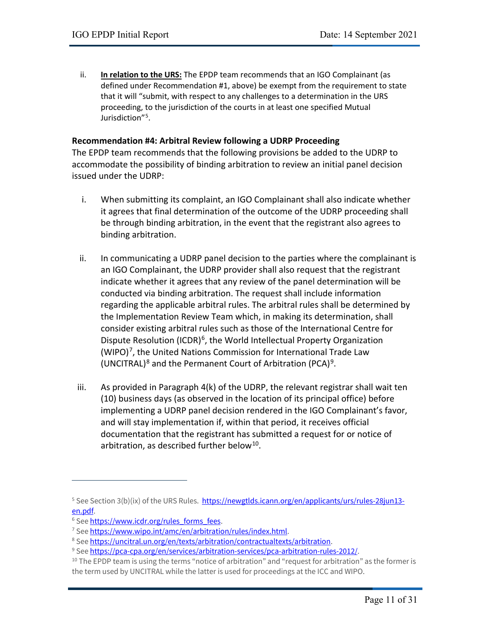ii. **In relation to the URS:** The EPDP team recommends that an IGO Complainant (as defined under Recommendation #1, above) be exempt from the requirement to state that it will "submit, with respect to any challenges to a determination in the URS proceeding, to the jurisdiction of the courts in at least one specified Mutual Jurisdiction"5 .

#### **Recommendation #4: Arbitral Review following a UDRP Proceeding**

The EPDP team recommends that the following provisions be added to the UDRP to accommodate the possibility of binding arbitration to review an initial panel decision issued under the UDRP:

- i. When submitting its complaint, an IGO Complainant shall also indicate whether it agrees that final determination of the outcome of the UDRP proceeding shall be through binding arbitration, in the event that the registrant also agrees to binding arbitration.
- ii. In communicating a UDRP panel decision to the parties where the complainant is an IGO Complainant, the UDRP provider shall also request that the registrant indicate whether it agrees that any review of the panel determination will be conducted via binding arbitration. The request shall include information regarding the applicable arbitral rules. The arbitral rules shall be determined by the Implementation Review Team which, in making its determination, shall consider existing arbitral rules such as those of the International Centre for Dispute Resolution (ICDR)<sup>6</sup>, the World Intellectual Property Organization (WIPO) $<sup>7</sup>$ , the United Nations Commission for International Trade Law</sup> (UNCITRAL) $8$  and the Permanent Court of Arbitration (PCA) $9$ .
- iii. As provided in Paragraph 4(k) of the UDRP, the relevant registrar shall wait ten (10) business days (as observed in the location of its principal office) before implementing a UDRP panel decision rendered in the IGO Complainant's favor, and will stay implementation if, within that period, it receives official documentation that the registrant has submitted a request for or notice of arbitration, as described further below<sup>10</sup>.

 $\overline{a}$ 

<sup>&</sup>lt;sup>5</sup> See Section 3(b)(ix) of the URS Rules. https://newgtlds.icann.org/en/applicants/urs/rules-28jun13en.pdf.

<sup>&</sup>lt;sup>6</sup> See https://www.icdr.org/rules\_forms\_fees.

<sup>7</sup> See https://www.wipo.int/amc/en/arbitration/rules/index.html.

<sup>&</sup>lt;sup>8</sup> See https://uncitral.un.org/en/texts/arbitration/contractualtexts/arbitration.

<sup>&</sup>lt;sup>9</sup> See https://pca-cpa.org/en/services/arbitration-services/pca-arbitration-rules-2012/.

 $10$  The EPDP team is using the terms "notice of arbitration" and "request for arbitration" as the former is the term used by UNCITRAL while the latter is used for proceedings at the ICC and WIPO.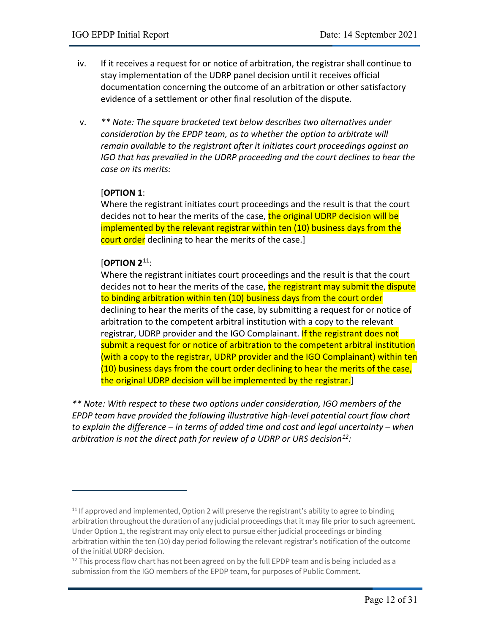- iv. If it receives a request for or notice of arbitration, the registrar shall continue to stay implementation of the UDRP panel decision until it receives official documentation concerning the outcome of an arbitration or other satisfactory evidence of a settlement or other final resolution of the dispute.
- v. *\*\* Note: The square bracketed text below describes two alternatives under consideration by the EPDP team, as to whether the option to arbitrate will remain available to the registrant after it initiates court proceedings against an IGO that has prevailed in the UDRP proceeding and the court declines to hear the case on its merits:*

### [**OPTION 1**:

Where the registrant initiates court proceedings and the result is that the court decides not to hear the merits of the case, the original UDRP decision will be implemented by the relevant registrar within ten (10) business days from the court order declining to hear the merits of the case.]

### [**OPTION 2**11:

 $\overline{a}$ 

Where the registrant initiates court proceedings and the result is that the court decides not to hear the merits of the case, the registrant may submit the dispute to binding arbitration within ten (10) business days from the court order declining to hear the merits of the case, by submitting a request for or notice of arbitration to the competent arbitral institution with a copy to the relevant registrar, UDRP provider and the IGO Complainant. If the registrant does not submit a request for or notice of arbitration to the competent arbitral institution (with a copy to the registrar, UDRP provider and the IGO Complainant) within ten (10) business days from the court order declining to hear the merits of the case, the original UDRP decision will be implemented by the registrar.]

*\*\* Note: With respect to these two options under consideration, IGO members of the EPDP team have provided the following illustrative high-level potential court flow chart to explain the difference – in terms of added time and cost and legal uncertainty – when arbitration is not the direct path for review of a UDRP or URS decision12:* 

 $11$  If approved and implemented, Option 2 will preserve the registrant's ability to agree to binding arbitration throughout the duration of any judicial proceedings that it may file prior to such agreement. Under Option 1, the registrant may only elect to pursue either judicial proceedings or binding arbitration within the ten (10) day period following the relevant registrar's notification of the outcome of the initial UDRP decision.

 $12$  This process flow chart has not been agreed on by the full EPDP team and is being included as a submission from the IGO members of the EPDP team, for purposes of Public Comment.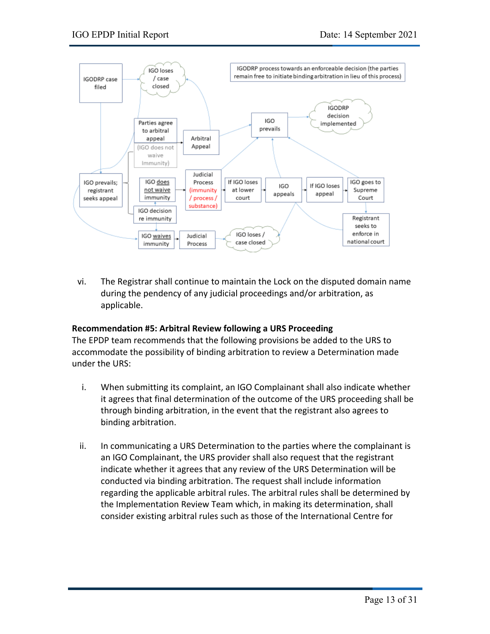

vi. The Registrar shall continue to maintain the Lock on the disputed domain name during the pendency of any judicial proceedings and/or arbitration, as applicable.

#### **Recommendation #5: Arbitral Review following a URS Proceeding**

The EPDP team recommends that the following provisions be added to the URS to accommodate the possibility of binding arbitration to review a Determination made under the URS:

- i. When submitting its complaint, an IGO Complainant shall also indicate whether it agrees that final determination of the outcome of the URS proceeding shall be through binding arbitration, in the event that the registrant also agrees to binding arbitration.
- ii. In communicating a URS Determination to the parties where the complainant is an IGO Complainant, the URS provider shall also request that the registrant indicate whether it agrees that any review of the URS Determination will be conducted via binding arbitration. The request shall include information regarding the applicable arbitral rules. The arbitral rules shall be determined by the Implementation Review Team which, in making its determination, shall consider existing arbitral rules such as those of the International Centre for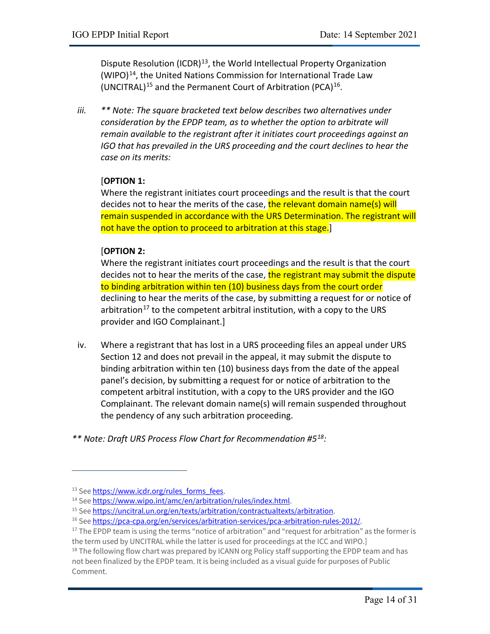Dispute Resolution (ICDR)<sup>13</sup>, the World Intellectual Property Organization (WIPO)<sup>14</sup>, the United Nations Commission for International Trade Law (UNCITRAL)<sup>15</sup> and the Permanent Court of Arbitration (PCA)<sup>16</sup>.

*iii. \*\* Note: The square bracketed text below describes two alternatives under consideration by the EPDP team, as to whether the option to arbitrate will remain available to the registrant after it initiates court proceedings against an IGO that has prevailed in the URS proceeding and the court declines to hear the case on its merits:* 

### [**OPTION 1:**

Where the registrant initiates court proceedings and the result is that the court decides not to hear the merits of the case, the relevant domain name(s) will remain suspended in accordance with the URS Determination. The registrant will not have the option to proceed to arbitration at this stage.]

### [**OPTION 2:**

Where the registrant initiates court proceedings and the result is that the court decides not to hear the merits of the case, the registrant may submit the dispute to binding arbitration within ten (10) business days from the court order declining to hear the merits of the case, by submitting a request for or notice of arbitration<sup>17</sup> to the competent arbitral institution, with a copy to the URS provider and IGO Complainant.]

iv. Where a registrant that has lost in a URS proceeding files an appeal under URS Section 12 and does not prevail in the appeal, it may submit the dispute to binding arbitration within ten (10) business days from the date of the appeal panel's decision, by submitting a request for or notice of arbitration to the competent arbitral institution, with a copy to the URS provider and the IGO Complainant. The relevant domain name(s) will remain suspended throughout the pendency of any such arbitration proceeding.

*\*\* Note: Draft URS Process Flow Chart for Recommendation #518:* 

 $\overline{a}$ 

<sup>&</sup>lt;sup>13</sup> See https://www.icdr.org/rules\_forms\_fees.

<sup>&</sup>lt;sup>14</sup> See https://www.wipo.int/amc/en/arbitration/rules/index.html.

<sup>&</sup>lt;sup>15</sup> See https://uncitral.un.org/en/texts/arbitration/contractualtexts/arbitration.

<sup>&</sup>lt;sup>16</sup> See https://pca-cpa.org/en/services/arbitration-services/pca-arbitration-rules-2012/.

 $17$  The EPDP team is using the terms "notice of arbitration" and "request for arbitration" as the former is the term used by UNCITRAL while the latter is used for proceedings at the ICC and WIPO.]

 $18$  The following flow chart was prepared by ICANN org Policy staff supporting the EPDP team and has not been finalized by the EPDP team. It is being included as a visual guide for purposes of Public Comment.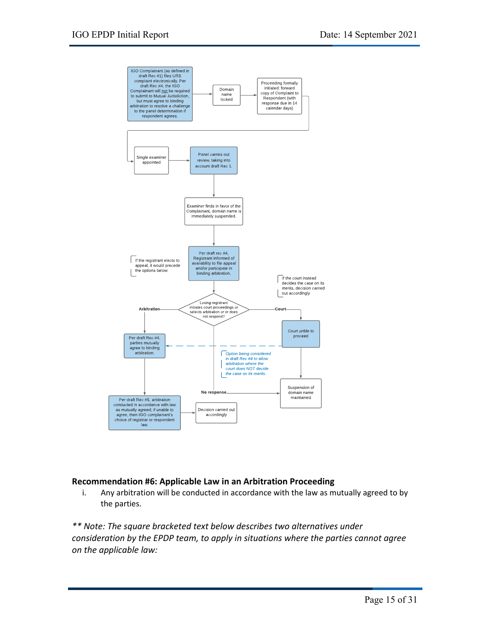

#### **Recommendation #6: Applicable Law in an Arbitration Proceeding**

i. Any arbitration will be conducted in accordance with the law as mutually agreed to by the parties.

*\*\* Note: The square bracketed text below describes two alternatives under consideration by the EPDP team, to apply in situations where the parties cannot agree on the applicable law:*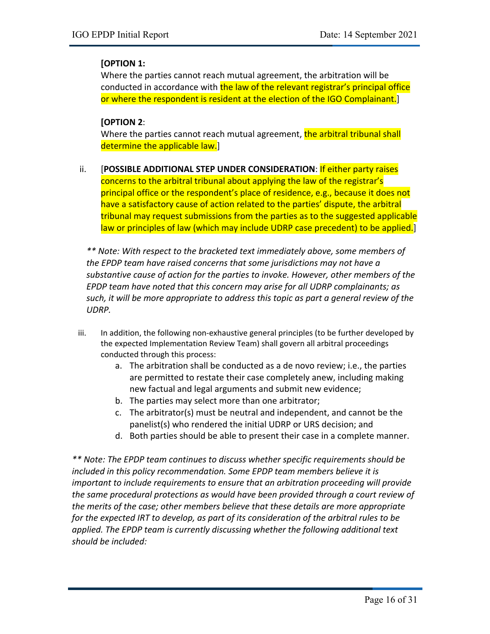### **[OPTION 1:**

Where the parties cannot reach mutual agreement, the arbitration will be conducted in accordance with the law of the relevant registrar's principal office or where the respondent is resident at the election of the IGO Complainant.]

### **[OPTION 2**:

Where the parties cannot reach mutual agreement, the arbitral tribunal shall determine the applicable law.

ii. [**POSSIBLE ADDITIONAL STEP UNDER CONSIDERATION**: If either party raises concerns to the arbitral tribunal about applying the law of the registrar's principal office or the respondent's place of residence, e.g., because it does not have a satisfactory cause of action related to the parties' dispute, the arbitral tribunal may request submissions from the parties as to the suggested applicable law or principles of law (which may include UDRP case precedent) to be applied.]

*\*\* Note: With respect to the bracketed text immediately above, some members of the EPDP team have raised concerns that some jurisdictions may not have a substantive cause of action for the parties to invoke. However, other members of the EPDP team have noted that this concern may arise for all UDRP complainants; as such, it will be more appropriate to address this topic as part a general review of the UDRP.*

- iii. In addition, the following non-exhaustive general principles (to be further developed by the expected Implementation Review Team) shall govern all arbitral proceedings conducted through this process:
	- a. The arbitration shall be conducted as a de novo review; i.e., the parties are permitted to restate their case completely anew, including making new factual and legal arguments and submit new evidence;
	- b. The parties may select more than one arbitrator;
	- c. The arbitrator(s) must be neutral and independent, and cannot be the panelist(s) who rendered the initial UDRP or URS decision; and
	- d. Both parties should be able to present their case in a complete manner.

*\*\* Note: The EPDP team continues to discuss whether specific requirements should be included in this policy recommendation. Some EPDP team members believe it is important to include requirements to ensure that an arbitration proceeding will provide the same procedural protections as would have been provided through a court review of the merits of the case; other members believe that these details are more appropriate for the expected IRT to develop, as part of its consideration of the arbitral rules to be applied. The EPDP team is currently discussing whether the following additional text should be included:*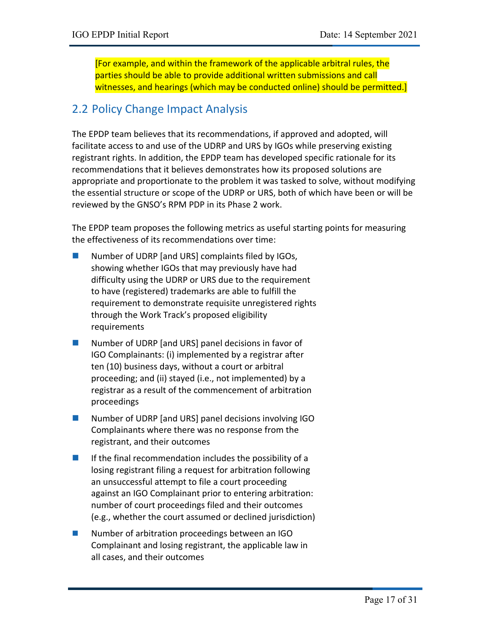[For example, and within the framework of the applicable arbitral rules, the parties should be able to provide additional written submissions and call witnesses, and hearings (which may be conducted online) should be permitted.]

### 2.2 Policy Change Impact Analysis

The EPDP team believes that its recommendations, if approved and adopted, will facilitate access to and use of the UDRP and URS by IGOs while preserving existing registrant rights. In addition, the EPDP team has developed specific rationale for its recommendations that it believes demonstrates how its proposed solutions are appropriate and proportionate to the problem it was tasked to solve, without modifying the essential structure or scope of the UDRP or URS, both of which have been or will be reviewed by the GNSO's RPM PDP in its Phase 2 work.

The EPDP team proposes the following metrics as useful starting points for measuring the effectiveness of its recommendations over time:

- Number of UDRP [and URS] complaints filed by IGOs, showing whether IGOs that may previously have had difficulty using the UDRP or URS due to the requirement to have (registered) trademarks are able to fulfill the requirement to demonstrate requisite unregistered rights through the Work Track's proposed eligibility requirements
- Number of UDRP [and URS] panel decisions in favor of IGO Complainants: (i) implemented by a registrar after ten (10) business days, without a court or arbitral proceeding; and (ii) stayed (i.e., not implemented) by a registrar as a result of the commencement of arbitration proceedings
- Number of UDRP [and URS] panel decisions involving IGO Complainants where there was no response from the registrant, and their outcomes
- $\blacksquare$  If the final recommendation includes the possibility of a losing registrant filing a request for arbitration following an unsuccessful attempt to file a court proceeding against an IGO Complainant prior to entering arbitration: number of court proceedings filed and their outcomes (e.g., whether the court assumed or declined jurisdiction)
- Number of arbitration proceedings between an IGO Complainant and losing registrant, the applicable law in all cases, and their outcomes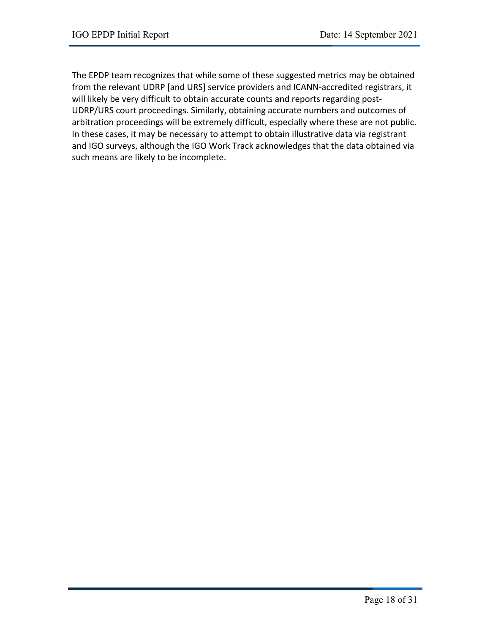The EPDP team recognizes that while some of these suggested metrics may be obtained from the relevant UDRP [and URS] service providers and ICANN-accredited registrars, it will likely be very difficult to obtain accurate counts and reports regarding post-UDRP/URS court proceedings. Similarly, obtaining accurate numbers and outcomes of arbitration proceedings will be extremely difficult, especially where these are not public. In these cases, it may be necessary to attempt to obtain illustrative data via registrant and IGO surveys, although the IGO Work Track acknowledges that the data obtained via such means are likely to be incomplete.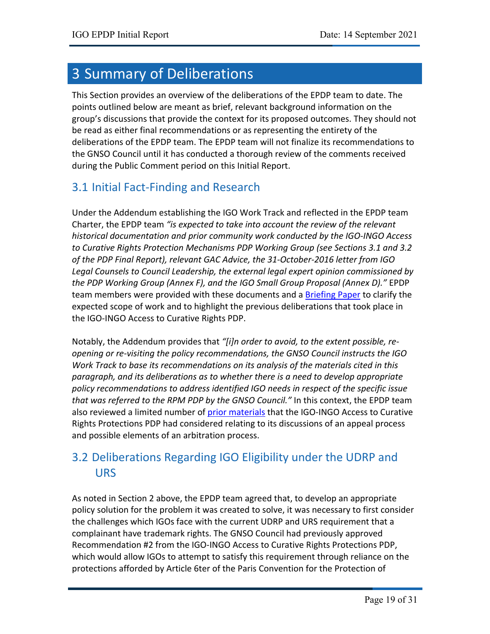# 3 Summary of Deliberations

This Section provides an overview of the deliberations of the EPDP team to date. The points outlined below are meant as brief, relevant background information on the group's discussions that provide the context for its proposed outcomes. They should not be read as either final recommendations or as representing the entirety of the deliberations of the EPDP team. The EPDP team will not finalize its recommendations to the GNSO Council until it has conducted a thorough review of the comments received during the Public Comment period on this Initial Report.

# 3.1 Initial Fact-Finding and Research

Under the Addendum establishing the IGO Work Track and reflected in the EPDP team Charter, the EPDP team *"is expected to take into account the review of the relevant historical documentation and prior community work conducted by the IGO-INGO Access to Curative Rights Protection Mechanisms PDP Working Group (see Sections 3.1 and 3.2 of the PDP Final Report), relevant GAC Advice, the 31-October-2016 letter from IGO Legal Counsels to Council Leadership, the external legal expert opinion commissioned by the PDP Working Group (Annex F), and the IGO Small Group Proposal (Annex D)."* EPDP team members were provided with these documents and a Briefing Paper to clarify the expected scope of work and to highlight the previous deliberations that took place in the IGO-INGO Access to Curative Rights PDP.

Notably, the Addendum provides that *"[i]n order to avoid, to the extent possible, reopening or re-visiting the policy recommendations, the GNSO Council instructs the IGO Work Track to base its recommendations on its analysis of the materials cited in this paragraph, and its deliberations as to whether there is a need to develop appropriate policy recommendations to address identified IGO needs in respect of the specific issue that was referred to the RPM PDP by the GNSO Council."* In this context, the EPDP team also reviewed a limited number of prior materials that the IGO-INGO Access to Curative Rights Protections PDP had considered relating to its discussions of an appeal process and possible elements of an arbitration process.

# 3.2 Deliberations Regarding IGO Eligibility under the UDRP and URS

As noted in Section 2 above, the EPDP team agreed that, to develop an appropriate policy solution for the problem it was created to solve, it was necessary to first consider the challenges which IGOs face with the current UDRP and URS requirement that a complainant have trademark rights. The GNSO Council had previously approved Recommendation #2 from the IGO-INGO Access to Curative Rights Protections PDP, which would allow IGOs to attempt to satisfy this requirement through reliance on the protections afforded by Article 6ter of the Paris Convention for the Protection of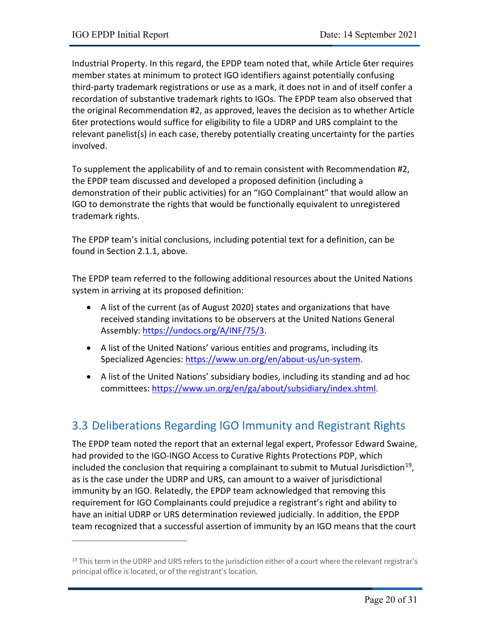$\overline{a}$ 

Industrial Property. In this regard, the EPDP team noted that, while Article 6ter requires member states at minimum to protect IGO identifiers against potentially confusing third-party trademark registrations or use as a mark, it does not in and of itself confer a recordation of substantive trademark rights to IGOs. The EPDP team also observed that the original Recommendation #2, as approved, leaves the decision as to whether Article 6ter protections would suffice for eligibility to file a UDRP and URS complaint to the relevant panelist(s) in each case, thereby potentially creating uncertainty for the parties involved.

To supplement the applicability of and to remain consistent with Recommendation #2, the EPDP team discussed and developed a proposed definition (including a demonstration of their public activities) for an "IGO Complainant" that would allow an IGO to demonstrate the rights that would be functionally equivalent to unregistered trademark rights.

The EPDP team's initial conclusions, including potential text for a definition, can be found in Section 2.1.1, above.

The EPDP team referred to the following additional resources about the United Nations system in arriving at its proposed definition:

- A list of the current (as of August 2020) states and organizations that have received standing invitations to be observers at the United Nations General Assembly: https://undocs.org/A/INF/75/3.
- A list of the United Nations' various entities and programs, including its Specialized Agencies: https://www.un.org/en/about-us/un-system.
- A list of the United Nations' subsidiary bodies, including its standing and ad hoc committees: https://www.un.org/en/ga/about/subsidiary/index.shtml.

# 3.3 Deliberations Regarding IGO Immunity and Registrant Rights

The EPDP team noted the report that an external legal expert, Professor Edward Swaine, had provided to the IGO-INGO Access to Curative Rights Protections PDP, which included the conclusion that requiring a complainant to submit to Mutual Jurisdiction<sup>19</sup>, as is the case under the UDRP and URS, can amount to a waiver of jurisdictional immunity by an IGO. Relatedly, the EPDP team acknowledged that removing this requirement for IGO Complainants could prejudice a registrant's right and ability to have an initial UDRP or URS determination reviewed judicially. In addition, the EPDP team recognized that a successful assertion of immunity by an IGO means that the court

 $19$  This term in the UDRP and URS refers to the jurisdiction either of a court where the relevant registrar's principal office is located, or of the registrant's location.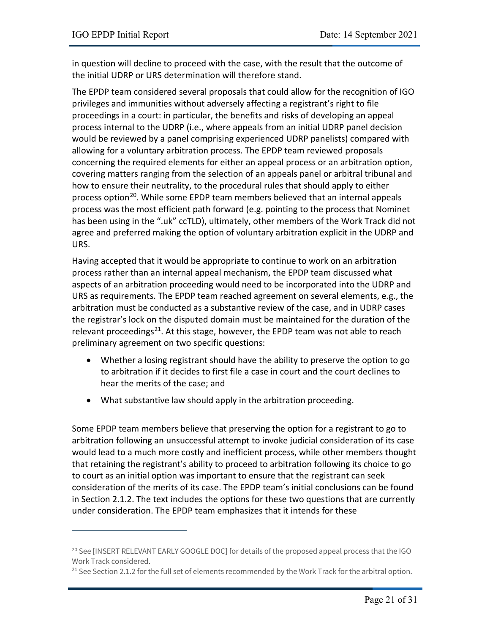$\overline{a}$ 

in question will decline to proceed with the case, with the result that the outcome of the initial UDRP or URS determination will therefore stand.

The EPDP team considered several proposals that could allow for the recognition of IGO privileges and immunities without adversely affecting a registrant's right to file proceedings in a court: in particular, the benefits and risks of developing an appeal process internal to the UDRP (i.e., where appeals from an initial UDRP panel decision would be reviewed by a panel comprising experienced UDRP panelists) compared with allowing for a voluntary arbitration process. The EPDP team reviewed proposals concerning the required elements for either an appeal process or an arbitration option, covering matters ranging from the selection of an appeals panel or arbitral tribunal and how to ensure their neutrality, to the procedural rules that should apply to either process option<sup>20</sup>. While some EPDP team members believed that an internal appeals process was the most efficient path forward (e.g. pointing to the process that Nominet has been using in the ".uk" ccTLD), ultimately, other members of the Work Track did not agree and preferred making the option of voluntary arbitration explicit in the UDRP and URS.

Having accepted that it would be appropriate to continue to work on an arbitration process rather than an internal appeal mechanism, the EPDP team discussed what aspects of an arbitration proceeding would need to be incorporated into the UDRP and URS as requirements. The EPDP team reached agreement on several elements, e.g., the arbitration must be conducted as a substantive review of the case, and in UDRP cases the registrar's lock on the disputed domain must be maintained for the duration of the relevant proceedings<sup>21</sup>. At this stage, however, the EPDP team was not able to reach preliminary agreement on two specific questions:

- Whether a losing registrant should have the ability to preserve the option to go to arbitration if it decides to first file a case in court and the court declines to hear the merits of the case; and
- What substantive law should apply in the arbitration proceeding.

Some EPDP team members believe that preserving the option for a registrant to go to arbitration following an unsuccessful attempt to invoke judicial consideration of its case would lead to a much more costly and inefficient process, while other members thought that retaining the registrant's ability to proceed to arbitration following its choice to go to court as an initial option was important to ensure that the registrant can seek consideration of the merits of its case. The EPDP team's initial conclusions can be found in Section 2.1.2. The text includes the options for these two questions that are currently under consideration. The EPDP team emphasizes that it intends for these

<sup>&</sup>lt;sup>20</sup> See [INSERT RELEVANT EARLY GOOGLE DOC] for details of the proposed appeal process that the IGO Work Track considered.

 $21$  See Section 2.1.2 for the full set of elements recommended by the Work Track for the arbitral option.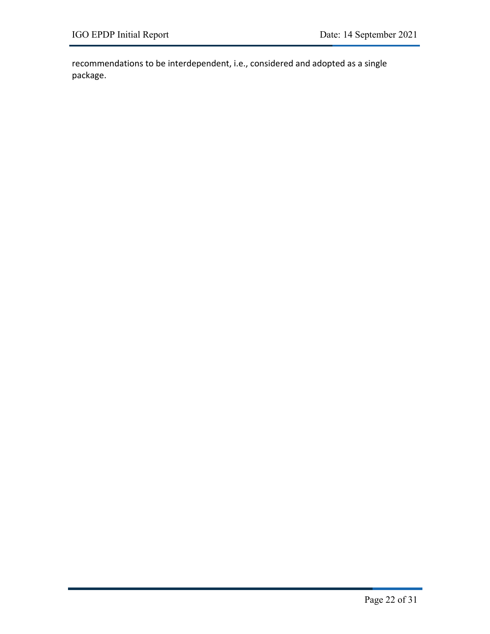recommendations to be interdependent, i.e., considered and adopted as a single package.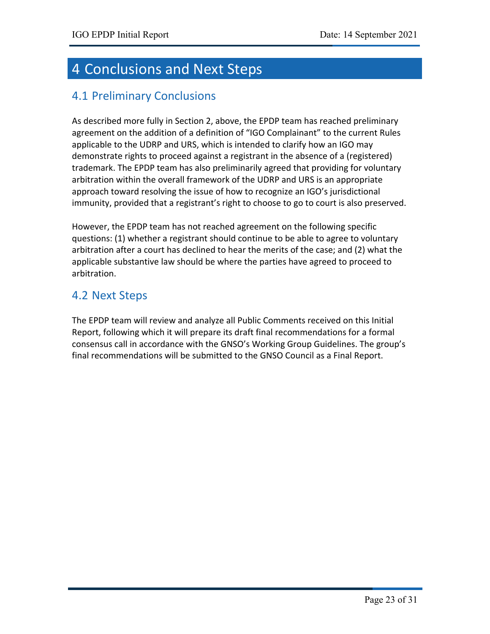# 4 Conclusions and Next Steps

### 4.1 Preliminary Conclusions

As described more fully in Section 2, above, the EPDP team has reached preliminary agreement on the addition of a definition of "IGO Complainant" to the current Rules applicable to the UDRP and URS, which is intended to clarify how an IGO may demonstrate rights to proceed against a registrant in the absence of a (registered) trademark. The EPDP team has also preliminarily agreed that providing for voluntary arbitration within the overall framework of the UDRP and URS is an appropriate approach toward resolving the issue of how to recognize an IGO's jurisdictional immunity, provided that a registrant's right to choose to go to court is also preserved.

However, the EPDP team has not reached agreement on the following specific questions: (1) whether a registrant should continue to be able to agree to voluntary arbitration after a court has declined to hear the merits of the case; and (2) what the applicable substantive law should be where the parties have agreed to proceed to arbitration.

## 4.2 Next Steps

The EPDP team will review and analyze all Public Comments received on this Initial Report, following which it will prepare its draft final recommendations for a formal consensus call in accordance with the GNSO's Working Group Guidelines. The group's final recommendations will be submitted to the GNSO Council as a Final Report.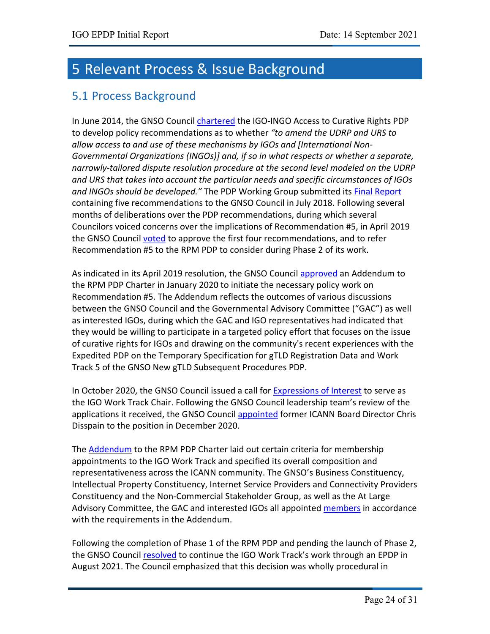# 5 Relevant Process & Issue Background

### 5.1 Process Background

In June 2014, the GNSO Council chartered the IGO-INGO Access to Curative Rights PDP to develop policy recommendations as to whether *"to amend the UDRP and URS to allow access to and use of these mechanisms by IGOs and [International Non-Governmental Organizations (INGOs)] and, if so in what respects or whether a separate, narrowly-tailored dispute resolution procedure at the second level modeled on the UDRP and URS that takes into account the particular needs and specific circumstances of IGOs and INGOs should be developed."* The PDP Working Group submitted its Final Report containing five recommendations to the GNSO Council in July 2018. Following several months of deliberations over the PDP recommendations, during which several Councilors voiced concerns over the implications of Recommendation #5, in April 2019 the GNSO Council voted to approve the first four recommendations, and to refer Recommendation #5 to the RPM PDP to consider during Phase 2 of its work.

As indicated in its April 2019 resolution, the GNSO Council approved an Addendum to the RPM PDP Charter in January 2020 to initiate the necessary policy work on Recommendation #5. The Addendum reflects the outcomes of various discussions between the GNSO Council and the Governmental Advisory Committee ("GAC") as well as interested IGOs, during which the GAC and IGO representatives had indicated that they would be willing to participate in a targeted policy effort that focuses on the issue of curative rights for IGOs and drawing on the community's recent experiences with the Expedited PDP on the Temporary Specification for gTLD Registration Data and Work Track 5 of the GNSO New gTLD Subsequent Procedures PDP.

In October 2020, the GNSO Council issued a call for Expressions of Interest to serve as the IGO Work Track Chair. Following the GNSO Council leadership team's review of the applications it received, the GNSO Council appointed former ICANN Board Director Chris Disspain to the position in December 2020.

The Addendum to the RPM PDP Charter laid out certain criteria for membership appointments to the IGO Work Track and specified its overall composition and representativeness across the ICANN community. The GNSO's Business Constituency, Intellectual Property Constituency, Internet Service Providers and Connectivity Providers Constituency and the Non-Commercial Stakeholder Group, as well as the At Large Advisory Committee, the GAC and interested IGOs all appointed members in accordance with the requirements in the Addendum.

Following the completion of Phase 1 of the RPM PDP and pending the launch of Phase 2, the GNSO Council resolved to continue the IGO Work Track's work through an EPDP in August 2021. The Council emphasized that this decision was wholly procedural in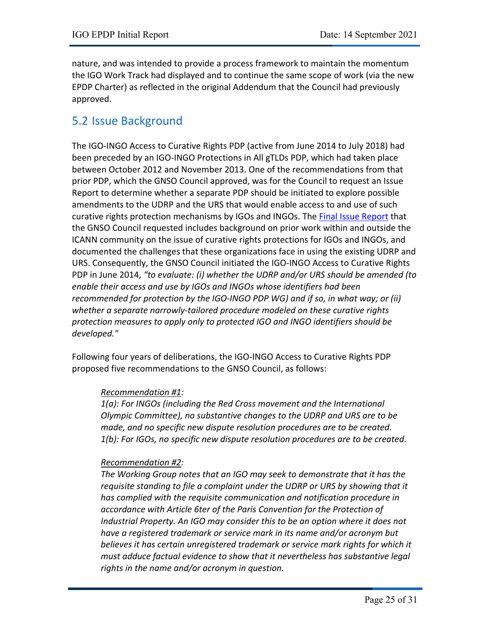nature, and was intended to provide a process framework to maintain the momentum the IGO Work Track had displayed and to continue the same scope of work (via the new EPDP Charter) as reflected in the original Addendum that the Council had previously approved.

### 5.2 Issue Background

The IGO-INGO Access to Curative Rights PDP (active from June 2014 to July 2018) had been preceded by an IGO-INGO Protections in All gTLDs PDP, which had taken place between October 2012 and November 2013. One of the recommendations from that prior PDP, which the GNSO Council approved, was for the Council to request an Issue Report to determine whether a separate PDP should be initiated to explore possible amendments to the UDRP and the URS that would enable access to and use of such curative rights protection mechanisms by IGOs and INGOs. The Final Issue Report that the GNSO Council requested includes background on prior work within and outside the ICANN community on the issue of curative rights protections for IGOs and INGOs, and documented the challenges that these organizations face in using the existing UDRP and URS. Consequently, the GNSO Council initiated the IGO-INGO Access to Curative Rights PDP in June 2014, *"to evaluate: (i) whether the UDRP and/or URS should be amended (to enable their access and use by IGOs and INGOs whose identifiers had been recommended for protection by the IGO-INGO PDP WG) and if so, in what way; or (ii) whether a separate narrowly-tailored procedure modeled on these curative rights protection measures to apply only to protected IGO and INGO identifiers should be developed."*

Following four years of deliberations, the IGO-INGO Access to Curative Rights PDP proposed five recommendations to the GNSO Council, as follows:

### *Recommendation #1:*

*1(a): For INGOs (including the Red Cross movement and the International Olympic Committee), no substantive changes to the UDRP and URS are to be made, and no specific new dispute resolution procedures are to be created. 1(b): For IGOs, no specific new dispute resolution procedures are to be created.*

### *Recommendation #2:*

*The Working Group notes that an IGO may seek to demonstrate that it has the requisite standing to file a complaint under the UDRP or URS by showing that it has complied with the requisite communication and notification procedure in accordance with Article 6ter of the Paris Convention for the Protection of Industrial Property. An IGO may consider this to be an option where it does not have a registered trademark or service mark in its name and/or acronym but*  believes it has certain unregistered trademark or service mark rights for which it *must adduce factual evidence to show that it nevertheless has substantive legal rights in the name and/or acronym in question.*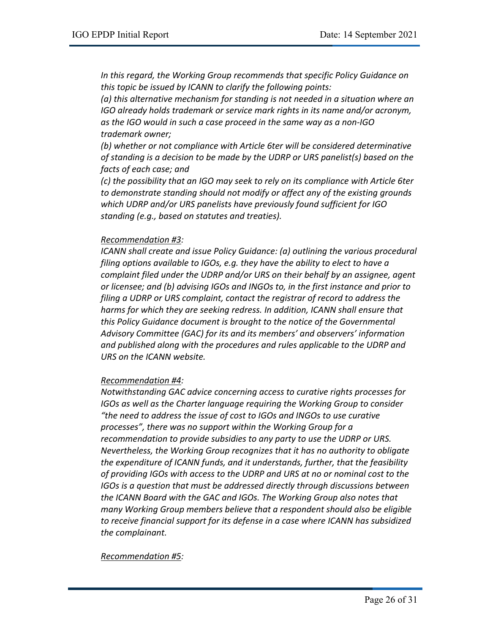*In this regard, the Working Group recommends that specific Policy Guidance on this topic be issued by ICANN to clarify the following points:* 

*(a) this alternative mechanism for standing is not needed in a situation where an IGO already holds trademark or service mark rights in its name and/or acronym, as the IGO would in such a case proceed in the same way as a non-IGO trademark owner;* 

*(b) whether or not compliance with Article 6ter will be considered determinative of standing is a decision to be made by the UDRP or URS panelist(s) based on the facts of each case; and* 

*(c) the possibility that an IGO may seek to rely on its compliance with Article 6ter to demonstrate standing should not modify or affect any of the existing grounds which UDRP and/or URS panelists have previously found sufficient for IGO standing (e.g., based on statutes and treaties).*

### *Recommendation #3:*

*ICANN shall create and issue Policy Guidance: (a) outlining the various procedural filing options available to IGOs, e.g. they have the ability to elect to have a complaint filed under the UDRP and/or URS on their behalf by an assignee, agent or licensee; and (b) advising IGOs and INGOs to, in the first instance and prior to filing a UDRP or URS complaint, contact the registrar of record to address the harms for which they are seeking redress. In addition, ICANN shall ensure that this Policy Guidance document is brought to the notice of the Governmental Advisory Committee (GAC) for its and its members' and observers' information and published along with the procedures and rules applicable to the UDRP and URS on the ICANN website.*

#### *Recommendation #4:*

*Notwithstanding GAC advice concerning access to curative rights processes for IGOs as well as the Charter language requiring the Working Group to consider "the need to address the issue of cost to IGOs and INGOs to use curative processes", there was no support within the Working Group for a recommendation to provide subsidies to any party to use the UDRP or URS. Nevertheless, the Working Group recognizes that it has no authority to obligate the expenditure of ICANN funds, and it understands, further, that the feasibility of providing IGOs with access to the UDRP and URS at no or nominal cost to the IGOs is a question that must be addressed directly through discussions between the ICANN Board with the GAC and IGOs. The Working Group also notes that many Working Group members believe that a respondent should also be eligible to receive financial support for its defense in a case where ICANN has subsidized the complainant.*

#### *Recommendation #5:*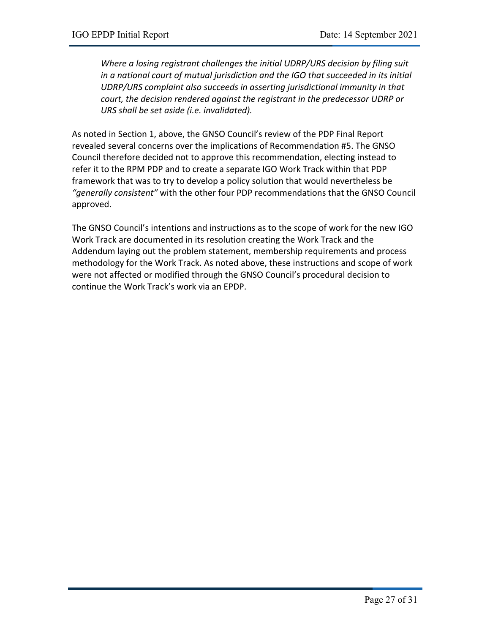*Where a losing registrant challenges the initial UDRP/URS decision by filing suit in a national court of mutual jurisdiction and the IGO that succeeded in its initial UDRP/URS complaint also succeeds in asserting jurisdictional immunity in that court, the decision rendered against the registrant in the predecessor UDRP or URS shall be set aside (i.e. invalidated).*

As noted in Section 1, above, the GNSO Council's review of the PDP Final Report revealed several concerns over the implications of Recommendation #5. The GNSO Council therefore decided not to approve this recommendation, electing instead to refer it to the RPM PDP and to create a separate IGO Work Track within that PDP framework that was to try to develop a policy solution that would nevertheless be *"generally consistent"* with the other four PDP recommendations that the GNSO Council approved.

The GNSO Council's intentions and instructions as to the scope of work for the new IGO Work Track are documented in its resolution creating the Work Track and the Addendum laying out the problem statement, membership requirements and process methodology for the Work Track. As noted above, these instructions and scope of work were not affected or modified through the GNSO Council's procedural decision to continue the Work Track's work via an EPDP.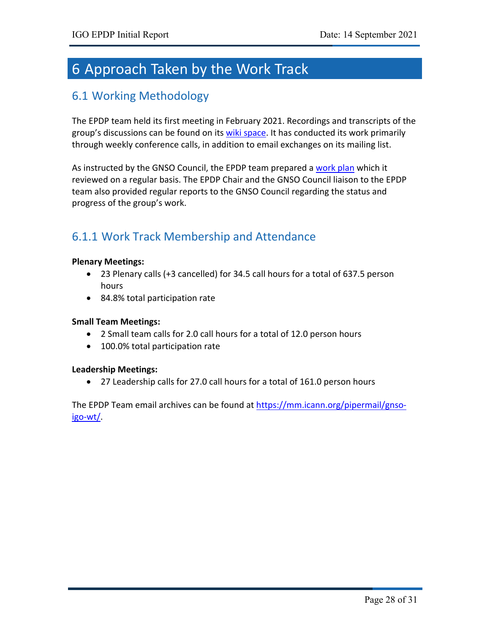# 6 Approach Taken by the Work Track

## 6.1 Working Methodology

The EPDP team held its first meeting in February 2021. Recordings and transcripts of the group's discussions can be found on its wiki space. It has conducted its work primarily through weekly conference calls, in addition to email exchanges on its mailing list.

As instructed by the GNSO Council, the EPDP team prepared a work plan which it reviewed on a regular basis. The EPDP Chair and the GNSO Council liaison to the EPDP team also provided regular reports to the GNSO Council regarding the status and progress of the group's work.

### 6.1.1 Work Track Membership and Attendance

#### **Plenary Meetings:**

- 23 Plenary calls (+3 cancelled) for 34.5 call hours for a total of 637.5 person hours
- 84.8% total participation rate

#### **Small Team Meetings:**

- 2 Small team calls for 2.0 call hours for a total of 12.0 person hours
- 100.0% total participation rate

#### **Leadership Meetings:**

• 27 Leadership calls for 27.0 call hours for a total of 161.0 person hours

The EPDP Team email archives can be found at https://mm.icann.org/pipermail/gnsoigo-wt/.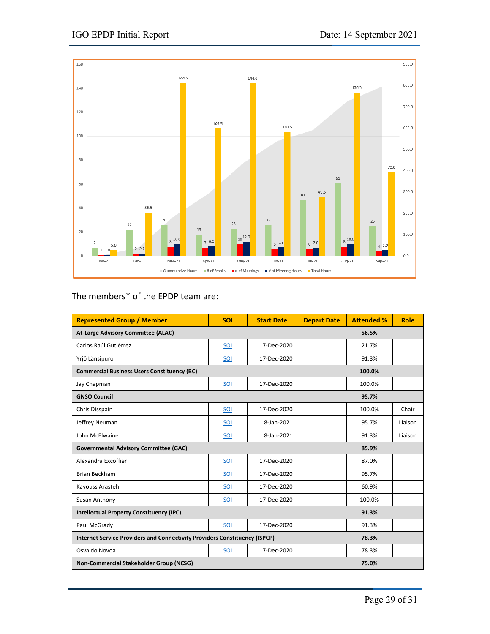

### The members\* of the EPDP team are:

| <b>Represented Group / Member</b>                                                 | <b>SOI</b> | <b>Start Date</b> | <b>Depart Date</b> | <b>Attended %</b> | Role    |
|-----------------------------------------------------------------------------------|------------|-------------------|--------------------|-------------------|---------|
| At-Large Advisory Committee (ALAC)<br>56.5%                                       |            |                   |                    |                   |         |
| Carlos Raúl Gutiérrez                                                             | SOI        | 17-Dec-2020       |                    | 21.7%             |         |
| Yrjö Länsipuro                                                                    | SOI        | 17-Dec-2020       |                    | 91.3%             |         |
| <b>Commercial Business Users Constituency (BC)</b>                                |            |                   |                    | 100.0%            |         |
| Jay Chapman                                                                       | SOI        | 17-Dec-2020       |                    | 100.0%            |         |
| <b>GNSO Council</b><br>95.7%                                                      |            |                   |                    |                   |         |
| Chris Disspain                                                                    | SOI        | 17-Dec-2020       |                    | 100.0%            | Chair   |
| Jeffrey Neuman                                                                    | SOI        | 8-Jan-2021        |                    | 95.7%             | Liaison |
| John McElwaine                                                                    | SOI        | 8-Jan-2021        |                    | 91.3%             | Liaison |
| <b>Governmental Advisory Committee (GAC)</b>                                      |            |                   |                    | 85.9%             |         |
| Alexandra Excoffier                                                               | SOI        | 17-Dec-2020       |                    | 87.0%             |         |
| <b>Brian Beckham</b>                                                              | SOI        | 17-Dec-2020       |                    | 95.7%             |         |
| Kavouss Arasteh                                                                   | SOI        | 17-Dec-2020       |                    | 60.9%             |         |
| Susan Anthony                                                                     | SOI        | 17-Dec-2020       |                    | 100.0%            |         |
| <b>Intellectual Property Constituency (IPC)</b>                                   |            |                   | 91.3%              |                   |         |
| Paul McGrady                                                                      | SOI        | 17-Dec-2020       |                    | 91.3%             |         |
| <b>Internet Service Providers and Connectivity Providers Constituency (ISPCP)</b> |            |                   | 78.3%              |                   |         |
| Osvaldo Novoa                                                                     | SOI        | 17-Dec-2020       |                    | 78.3%             |         |
| Non-Commercial Stakeholder Group (NCSG)                                           |            |                   |                    | 75.0%             |         |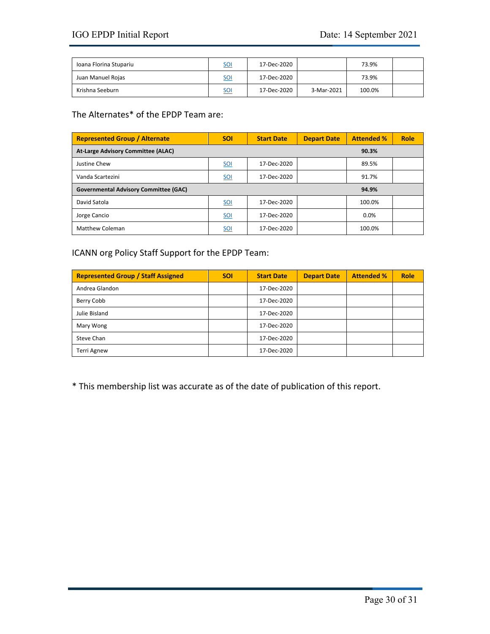| Ioana Florina Stupariu | $SOL$      | 17-Dec-2020 |            | 73.9%  |  |
|------------------------|------------|-------------|------------|--------|--|
| Juan Manuel Rojas      | <u>SOI</u> | 17-Dec-2020 |            | 73.9%  |  |
| Krishna Seeburn        | $SOL$      | 17-Dec-2020 | 3-Mar-2021 | 100.0% |  |

The Alternates\* of the EPDP Team are:

| <b>Represented Group / Alternate</b>                  | <b>SOI</b> | <b>Start Date</b> | <b>Depart Date</b> | <b>Attended %</b> | Role |
|-------------------------------------------------------|------------|-------------------|--------------------|-------------------|------|
| At-Large Advisory Committee (ALAC)<br>90.3%           |            |                   |                    |                   |      |
| Justine Chew                                          | $SOL$      | 17-Dec-2020       |                    | 89.5%             |      |
| Vanda Scartezini                                      | $SOL$      | 17-Dec-2020       |                    | 91.7%             |      |
| <b>Governmental Advisory Committee (GAC)</b><br>94.9% |            |                   |                    |                   |      |
| David Satola                                          | $SOL$      | 17-Dec-2020       |                    | 100.0%            |      |
| Jorge Cancio                                          | $SOL$      | 17-Dec-2020       |                    | 0.0%              |      |
| <b>Matthew Coleman</b>                                | $SOL$      | 17-Dec-2020       |                    | 100.0%            |      |

### ICANN org Policy Staff Support for the EPDP Team:

| <b>Represented Group / Staff Assigned</b> | <b>SOI</b> | <b>Start Date</b> | <b>Depart Date</b> | <b>Attended %</b> | <b>Role</b> |
|-------------------------------------------|------------|-------------------|--------------------|-------------------|-------------|
| Andrea Glandon                            |            | 17-Dec-2020       |                    |                   |             |
| Berry Cobb                                |            | 17-Dec-2020       |                    |                   |             |
| Julie Bisland                             |            | 17-Dec-2020       |                    |                   |             |
| Mary Wong                                 |            | 17-Dec-2020       |                    |                   |             |
| Steve Chan                                |            | 17-Dec-2020       |                    |                   |             |
| Terri Agnew                               |            | 17-Dec-2020       |                    |                   |             |

\* This membership list was accurate as of the date of publication of this report.